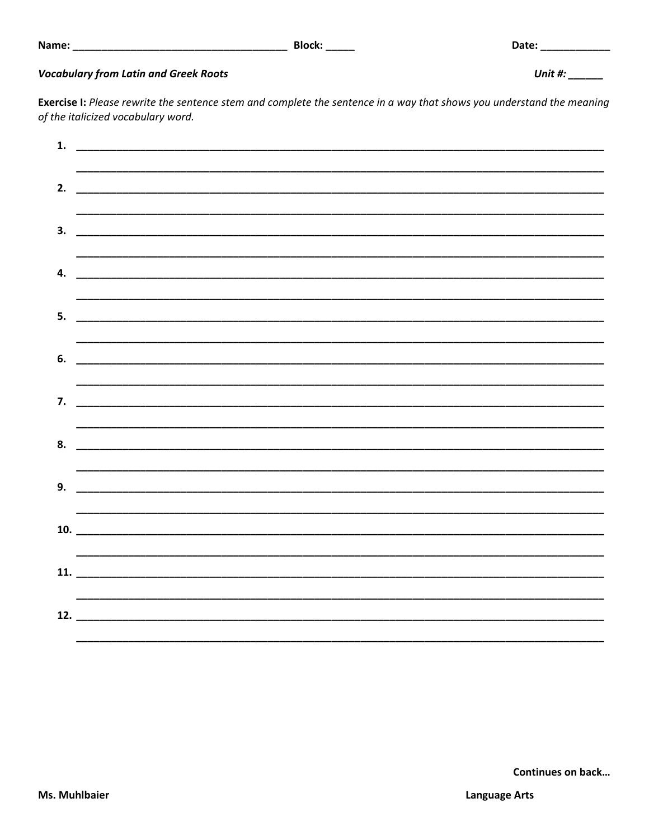## **Vocabulary from Latin and Greek Roots**

Exercise I: Please rewrite the sentence stem and complete the sentence in a way that shows you understand the meaning of the italicized vocabulary word.

| 1. |  |
|----|--|
|    |  |
| 2. |  |
|    |  |
|    |  |
|    |  |
|    |  |
| 4. |  |
|    |  |
| 5. |  |
|    |  |
| 6. |  |
|    |  |
|    |  |
|    |  |
| 8. |  |
|    |  |
|    |  |
|    |  |
|    |  |
|    |  |
|    |  |
|    |  |
|    |  |
|    |  |
|    |  |

Date: \_\_\_\_\_\_\_\_\_\_\_\_

Unit #:  $\frac{1}{2}$